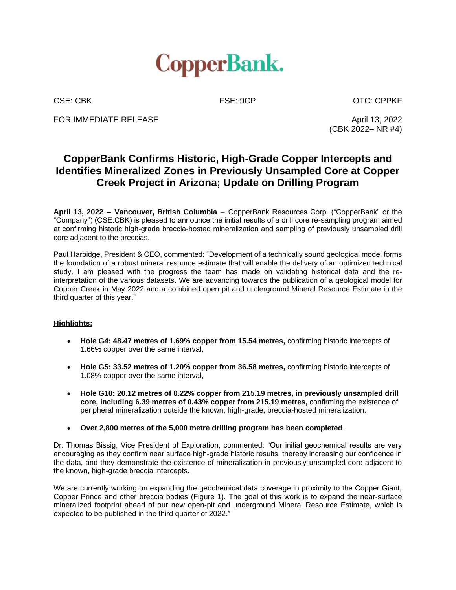

CSE: CBK FSE: 9CP OTC: CPPKF

FOR IMMEDIATE RELEASE April 13, 2022

(CBK 2022– NR #4)

# **CopperBank Confirms Historic, High-Grade Copper Intercepts and Identifies Mineralized Zones in Previously Unsampled Core at Copper Creek Project in Arizona; Update on Drilling Program**

**April 13, 2022 – Vancouver, British Columbia** – CopperBank Resources Corp. ("CopperBank" or the "Company") (CSE:CBK) is pleased to announce the initial results of a drill core re-sampling program aimed at confirming historic high-grade breccia-hosted mineralization and sampling of previously unsampled drill core adjacent to the breccias.

Paul Harbidge, President & CEO, commented: "Development of a technically sound geological model forms the foundation of a robust mineral resource estimate that will enable the delivery of an optimized technical study. I am pleased with the progress the team has made on validating historical data and the reinterpretation of the various datasets. We are advancing towards the publication of a geological model for Copper Creek in May 2022 and a combined open pit and underground Mineral Resource Estimate in the third quarter of this year."

# **Highlights:**

- **Hole G4: 48.47 metres of 1.69% copper from 15.54 metres,** confirming historic intercepts of 1.66% copper over the same interval,
- **Hole G5: 33.52 metres of 1.20% copper from 36.58 metres,** confirming historic intercepts of 1.08% copper over the same interval,
- **Hole G10: 20.12 metres of 0.22% copper from 215.19 metres, in previously unsampled drill core, including 6.39 metres of 0.43% copper from 215.19 metres,** confirming the existence of peripheral mineralization outside the known, high-grade, breccia-hosted mineralization.
- **Over 2,800 metres of the 5,000 metre drilling program has been completed**.

Dr. Thomas Bissig, Vice President of Exploration, commented: "Our initial geochemical results are very encouraging as they confirm near surface high-grade historic results, thereby increasing our confidence in the data, and they demonstrate the existence of mineralization in previously unsampled core adjacent to the known, high-grade breccia intercepts.

We are currently working on expanding the geochemical data coverage in proximity to the Copper Giant, Copper Prince and other breccia bodies (Figure 1). The goal of this work is to expand the near-surface mineralized footprint ahead of our new open-pit and underground Mineral Resource Estimate, which is expected to be published in the third quarter of 2022."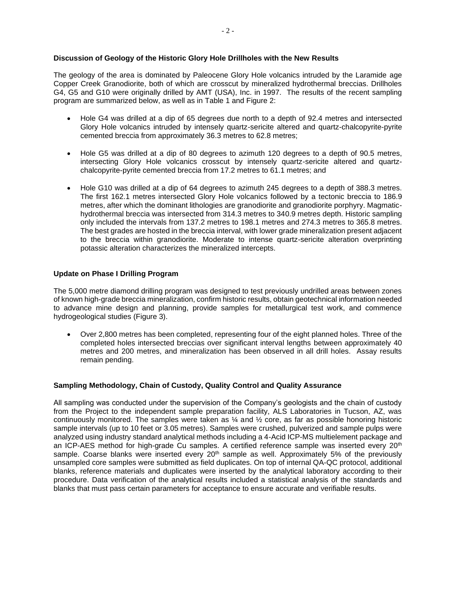### **Discussion of Geology of the Historic Glory Hole Drillholes with the New Results**

The geology of the area is dominated by Paleocene Glory Hole volcanics intruded by the Laramide age Copper Creek Granodiorite, both of which are crosscut by mineralized hydrothermal breccias. Drillholes G4, G5 and G10 were originally drilled by AMT (USA), Inc. in 1997. The results of the recent sampling program are summarized below, as well as in Table 1 and Figure 2:

- Hole G4 was drilled at a dip of 65 degrees due north to a depth of 92.4 metres and intersected Glory Hole volcanics intruded by intensely quartz-sericite altered and quartz-chalcopyrite-pyrite cemented breccia from approximately 36.3 metres to 62.8 metres;
- Hole G5 was drilled at a dip of 80 degrees to azimuth 120 degrees to a depth of 90.5 metres, intersecting Glory Hole volcanics crosscut by intensely quartz-sericite altered and quartzchalcopyrite-pyrite cemented breccia from 17.2 metres to 61.1 metres; and
- Hole G10 was drilled at a dip of 64 degrees to azimuth 245 degrees to a depth of 388.3 metres. The first 162.1 metres intersected Glory Hole volcanics followed by a tectonic breccia to 186.9 metres, after which the dominant lithologies are granodiorite and granodiorite porphyry. Magmatichydrothermal breccia was intersected from 314.3 metres to 340.9 metres depth. Historic sampling only included the intervals from 137.2 metres to 198.1 metres and 274.3 metres to 365.8 metres. The best grades are hosted in the breccia interval, with lower grade mineralization present adjacent to the breccia within granodiorite. Moderate to intense quartz-sericite alteration overprinting potassic alteration characterizes the mineralized intercepts.

### **Update on Phase I Drilling Program**

The 5,000 metre diamond drilling program was designed to test previously undrilled areas between zones of known high-grade breccia mineralization, confirm historic results, obtain geotechnical information needed to advance mine design and planning, provide samples for metallurgical test work, and commence hydrogeological studies (Figure 3).

• Over 2,800 metres has been completed, representing four of the eight planned holes. Three of the completed holes intersected breccias over significant interval lengths between approximately 40 metres and 200 metres, and mineralization has been observed in all drill holes. Assay results remain pending.

#### **Sampling Methodology, Chain of Custody, Quality Control and Quality Assurance**

All sampling was conducted under the supervision of the Company's geologists and the chain of custody from the Project to the independent sample preparation facility, ALS Laboratories in Tucson, AZ, was continuously monitored. The samples were taken as  $\frac{1}{4}$  and  $\frac{1}{2}$  core, as far as possible honoring historic sample intervals (up to 10 feet or 3.05 metres). Samples were crushed, pulverized and sample pulps were analyzed using industry standard analytical methods including a 4-Acid ICP-MS multielement package and an ICP-AES method for high-grade Cu samples. A certified reference sample was inserted every 20<sup>th</sup> sample. Coarse blanks were inserted every  $20<sup>th</sup>$  sample as well. Approximately 5% of the previously unsampled core samples were submitted as field duplicates. On top of internal QA-QC protocol, additional blanks, reference materials and duplicates were inserted by the analytical laboratory according to their procedure. Data verification of the analytical results included a statistical analysis of the standards and blanks that must pass certain parameters for acceptance to ensure accurate and verifiable results.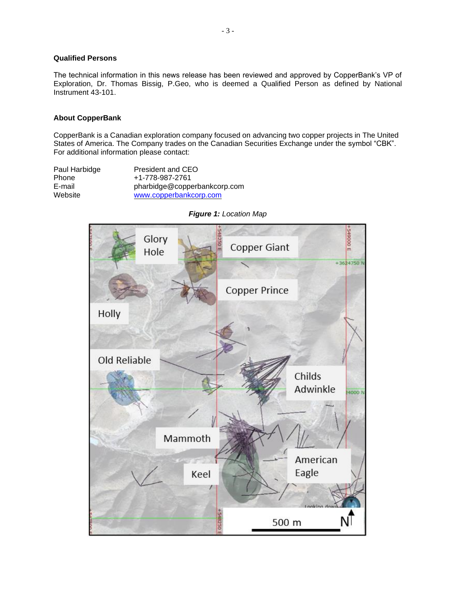### **Qualified Persons**

The technical information in this news release has been reviewed and approved by CopperBank's VP of Exploration, Dr. Thomas Bissig, P.Geo, who is deemed a Qualified Person as defined by National Instrument 43-101.

#### **About CopperBank**

CopperBank is a Canadian exploration company focused on advancing two copper projects in The United States of America. The Company trades on the Canadian Securities Exchange under the symbol "CBK". For additional information please contact:

| Paul Harbidge | President and CEO            |
|---------------|------------------------------|
| <b>Phone</b>  | +1-778-987-2761              |
| E-mail        | pharbidge@copperbankcorp.com |
| Website       | www.copperbankcorp.com       |



*Figure 1: Location Map*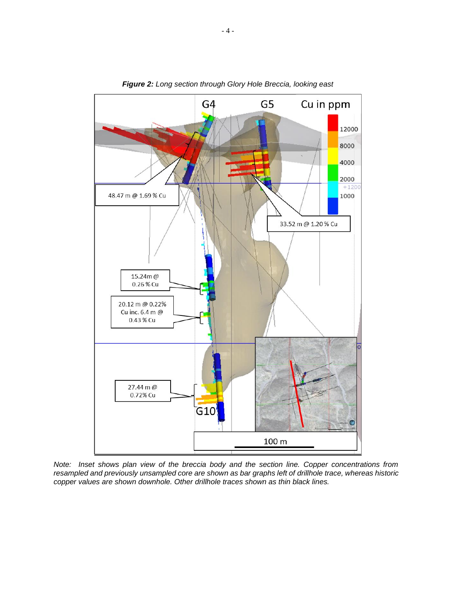

*Figure 2: Long section through Glory Hole Breccia, looking east* 

*Note: Inset shows plan view of the breccia body and the section line. Copper concentrations from resampled and previously unsampled core are shown as bar graphs left of drillhole trace, whereas historic copper values are shown downhole. Other drillhole traces shown as thin black lines.*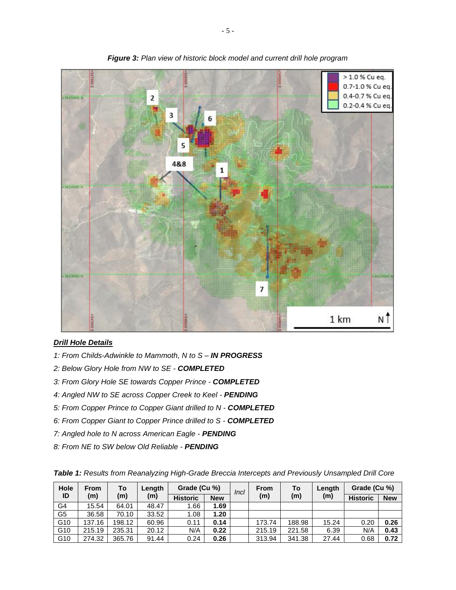

*Figure 3: Plan view of historic block model and current drill hole program*

# *Drill Hole Details*

- *1: From Childs-Adwinkle to Mammoth, N to S – IN PROGRESS*
- *2: Below Glory Hole from NW to SE - COMPLETED*
- *3: From Glory Hole SE towards Copper Prince - COMPLETED*
- *4: Angled NW to SE across Copper Creek to Keel - PENDING*
- *5: From Copper Prince to Copper Giant drilled to N - COMPLETED*
- *6: From Copper Giant to Copper Prince drilled to S - COMPLETED*
- *7: Angled hole to N across American Eagle - PENDING*
- *8: From NE to SW below Old Reliable - PENDING*

| Table 1: Results from Reanalyzing High-Grade Breccia Intercepts and Previously Unsampled Drill Core |  |
|-----------------------------------------------------------------------------------------------------|--|
|-----------------------------------------------------------------------------------------------------|--|

| Hole<br>From<br>ID<br>(m) |        | To     | Length          | Grade (Cu %) |                 | Incl | <b>From</b><br>(m) | To<br>(m) | Length<br>(m) | Grade (Cu %) |      |
|---------------------------|--------|--------|-----------------|--------------|-----------------|------|--------------------|-----------|---------------|--------------|------|
|                           | (m)    | (m)    | <b>Historic</b> | <b>New</b>   | <b>Historic</b> |      |                    |           |               | <b>New</b>   |      |
| G4                        | 15.54  | 64.01  | 48.47           | 1.66         | 1.69            |      |                    |           |               |              |      |
| G <sub>5</sub>            | 36.58  | 70.10  | 33.52           | 1.08         | 1.20            |      |                    |           |               |              |      |
| G10                       | 137.16 | 198.12 | 60.96           | 0.11         | 0.14            |      | 173.74             | 188.98    | 15.24         | 0.20         | 0.26 |
| G10                       | 215.19 | 235.31 | 20.12           | N/A          | 0.22            |      | 215.19             | 221.58    | 6.39          | N/A          | 0.43 |
| G10                       | 274.32 | 365.76 | 91.44           | 0.24         | 0.26            |      | 313.94             | 341.38    | 27.44         | 0.68         | 0.72 |